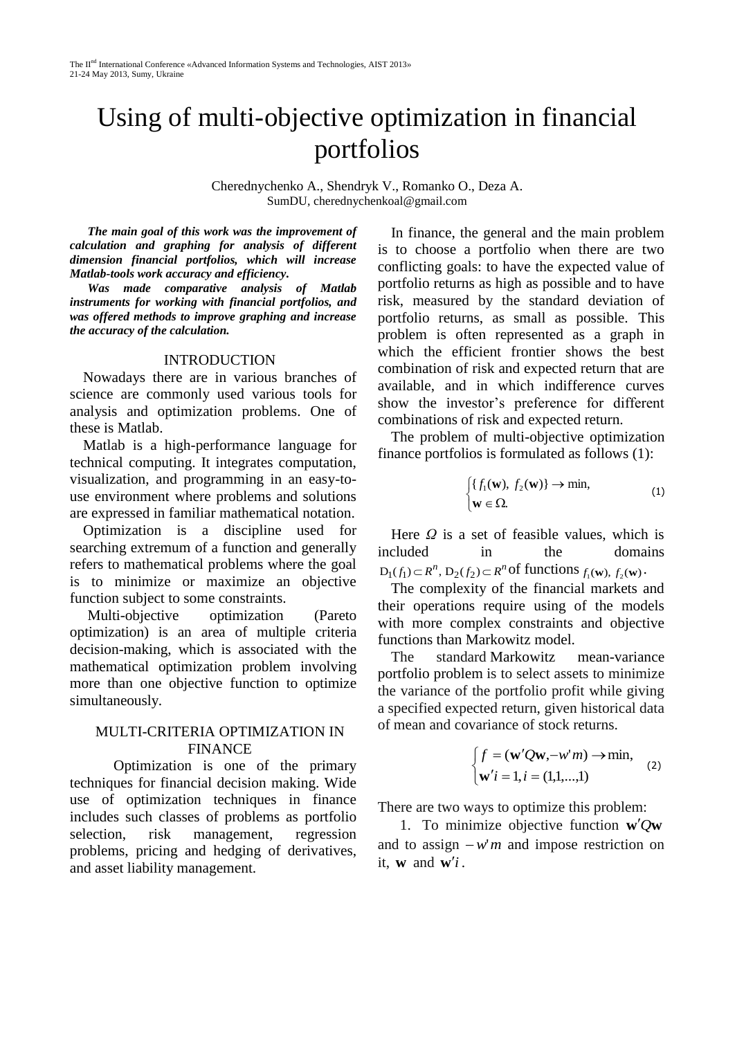# Using of multi-objective optimization in financial portfolios

Cherednychenko A., Shendryk V., Romanko O., Deza A. SumDU, cherednychenkoal@gmail.com

*The main goal of this work was the improvement of calculation and graphing for analysis of different dimension financial portfolios, which will increase Matlab-tools work accuracy and efficiency.*

*Was made comparative analysis of Matlab instruments for working with financial portfolios, and was offered methods to improve graphing and increase the accuracy of the calculation.*

#### **INTRODUCTION**

Nowadays there are in various branches of science are commonly used various tools for analysis and optimization problems. One of these is Matlab.

Matlab is a high-performance language for technical computing. It integrates computation, visualization, and programming in an easy-touse environment where problems and solutions are expressed in familiar mathematical notation.

Optimization is a discipline used for searching extremum of a function and generally refers to mathematical problems where the goal is to minimize or maximize an objective function subject to some constraints.

Multi-objective optimization (Pareto optimization) is an area of multiple criteria decision-making, which is associated with the mathematical optimization problem involving more than one objective function to optimize simultaneously.

### MULTI-CRITERIA OPTIMIZATION IN FINANCE

Optimization is one of the primary techniques for financial decision making. Wide use of optimization techniques in finance includes such classes of problems as portfolio selection, risk management, regression problems, pricing and hedging of derivatives, and asset liability management.

In finance, the general and the main problem is to choose a portfolio when there are two conflicting goals: to have the expected value of portfolio returns as high as possible and to have risk, measured by the standard deviation of portfolio returns, as small as possible. This problem is often represented as a graph in which the efficient frontier shows the best combination of risk and expected return that are available, and in which indifference curves show the investor's preference for different combinations of risk and expected return.

The problem of multi-objective optimization finance portfolios is formulated as follows (1):

$$
\begin{cases} \{f_1(\mathbf{w}), f_2(\mathbf{w})\} \to \min, \\ \mathbf{w} \in \Omega. \end{cases} \tag{1}
$$

Here *Ω* is a set of feasible values, which is included in the domains  $D_1(f_1) \subset R^n$ ,  $D_2(f_2) \subset R^n$  of functions  $f_1(\mathbf{w})$ ,  $f_2(\mathbf{w})$ .

The complexity of the financial markets and their operations require using of the models with more complex constraints and objective functions than Markowitz model.

The standard Markowitz mean-variance portfolio problem is to select assets to minimize the variance of the portfolio profit while giving a specified expected return, given historical data of mean and covariance of stock returns.

$$
\begin{cases}\nf = (\mathbf{w}'Q\mathbf{w}, -w'm) \to \min, \\
\mathbf{w}'i = 1, i = (1, 1, \dots, 1)\n\end{cases}
$$
\n(2)

There are two ways to optimize this problem:

1. To minimize objective function **w***Q***w** and to assign  $-w'm$  and impose restriction on it, **w** and  $\mathbf{w}'$ *i*.